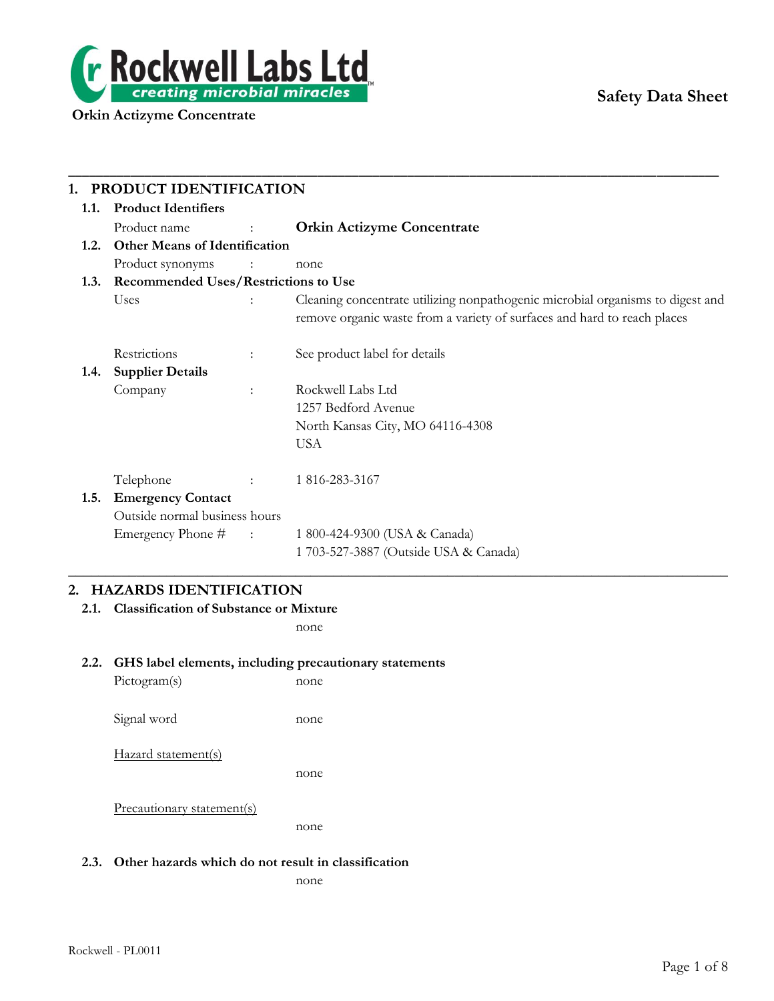

# **Safety Data Sheet**

|      | PRODUCT IDENTIFICATION                            |                      |                                                                                |  |  |
|------|---------------------------------------------------|----------------------|--------------------------------------------------------------------------------|--|--|
| 1.1. | <b>Product Identifiers</b>                        |                      |                                                                                |  |  |
|      | Product name<br>$\sim 10^{11}$ and $\sim 10^{11}$ |                      | <b>Orkin Actizyme Concentrate</b>                                              |  |  |
| 1.2. | <b>Other Means of Identification</b>              |                      |                                                                                |  |  |
|      | Product synonyms                                  |                      | none                                                                           |  |  |
|      | 1.3. Recommended Uses/Restrictions to Use         |                      |                                                                                |  |  |
|      | Uses                                              |                      | Cleaning concentrate utilizing nonpathogenic microbial organisms to digest and |  |  |
|      |                                                   |                      | remove organic waste from a variety of surfaces and hard to reach places       |  |  |
|      | Restrictions                                      | $\ddot{\phantom{a}}$ | See product label for details                                                  |  |  |
| 1.4. | <b>Supplier Details</b>                           |                      |                                                                                |  |  |
|      | Company                                           | $\ddot{\phantom{a}}$ | Rockwell Labs Ltd                                                              |  |  |
|      |                                                   |                      | 1257 Bedford Avenue                                                            |  |  |
|      |                                                   |                      | North Kansas City, MO 64116-4308                                               |  |  |
|      |                                                   |                      | <b>USA</b>                                                                     |  |  |
|      | Telephone                                         | <b>British</b>       | 1 816-283-3167                                                                 |  |  |
| 1.5. | <b>Emergency Contact</b>                          |                      |                                                                                |  |  |
|      | Outside normal business hours                     |                      |                                                                                |  |  |
|      | Emergency Phone # :                               |                      | 1 800-424-9300 (USA & Canada)                                                  |  |  |
|      |                                                   |                      | 1 703-527-3887 (Outside USA & Canada)                                          |  |  |
|      |                                                   |                      |                                                                                |  |  |

\_\_\_\_\_\_\_\_\_\_\_\_\_\_\_\_\_\_\_\_\_\_\_\_\_\_\_\_\_\_\_\_\_\_\_\_\_\_\_\_\_\_\_\_\_\_\_\_\_\_\_\_\_\_\_\_\_\_\_\_\_\_\_\_\_\_\_\_\_\_\_\_\_\_\_\_\_\_\_\_\_\_\_\_\_\_\_\_\_\_\_\_\_\_

# **2. HAZARDS IDENTIFICATION**

# **2.1. Classification of Substance or Mixture**

none

### **2.2. GHS label elements, including precautionary statements**

| Pictogram(s)               | none |
|----------------------------|------|
| Signal word                | none |
| Hazard statement(s)        | none |
| Precautionary statement(s) | none |

# **2.3. Other hazards which do not result in classification**

none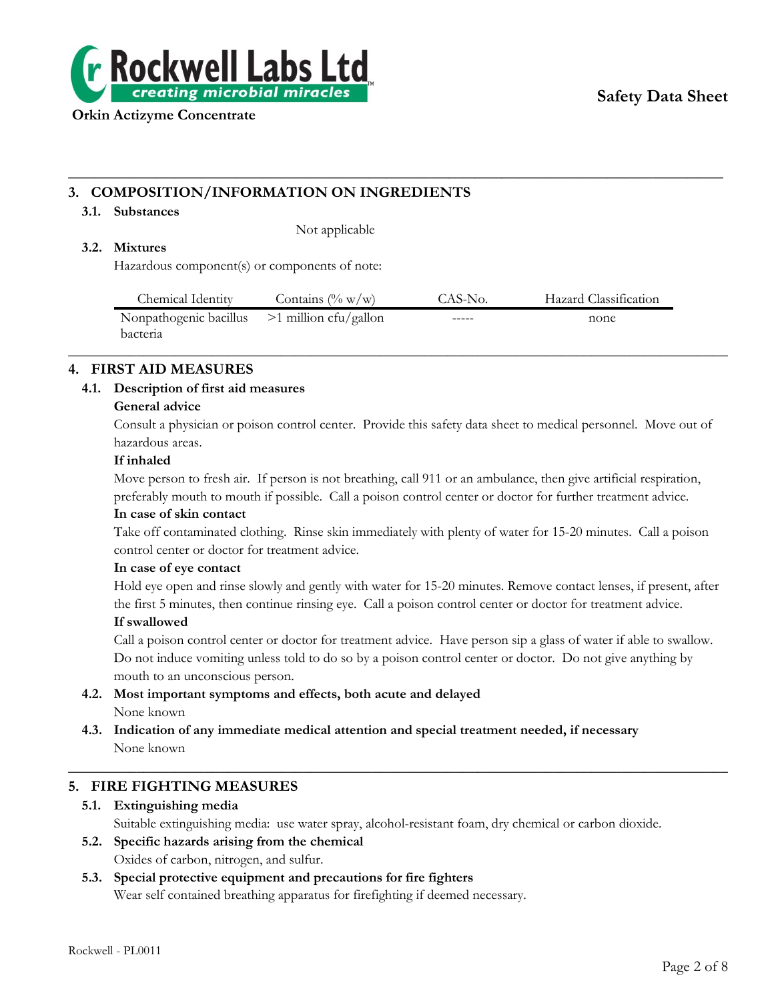

# **3. COMPOSITION/INFORMATION ON INGREDIENTS**

# **3.1. Substances**

Not applicable

# **3.2. Mixtures**

Hazardous component(s) or components of note:

| Chemical Identity                              | Contains $(\% w/w)$ | CAS-No. | Hazard Classification |
|------------------------------------------------|---------------------|---------|-----------------------|
| Nonpathogenic bacillus $>1$ million cfu/gallon |                     | -----   | none                  |
| bacteria                                       |                     |         |                       |

 $\_$  , and the set of the set of the set of the set of the set of the set of the set of the set of the set of the set of the set of the set of the set of the set of the set of the set of the set of the set of the set of th

**\_\_\_\_\_\_\_\_\_\_\_\_\_\_\_\_\_\_\_\_\_\_\_\_\_\_\_\_\_\_\_\_\_\_\_\_\_\_\_\_\_\_\_\_\_\_\_\_\_\_\_\_\_\_\_\_\_\_\_\_\_\_\_\_\_\_\_\_\_\_\_\_\_\_**

# **4. FIRST AID MEASURES**

# **4.1. Description of first aid measures**

# **General advice**

Consult a physician or poison control center. Provide this safety data sheet to medical personnel. Move out of hazardous areas.

# **If inhaled**

Move person to fresh air. If person is not breathing, call 911 or an ambulance, then give artificial respiration, preferably mouth to mouth if possible. Call a poison control center or doctor for further treatment advice.

# **In case of skin contact**

Take off contaminated clothing. Rinse skin immediately with plenty of water for 15-20 minutes. Call a poison control center or doctor for treatment advice.

# **In case of eye contact**

Hold eye open and rinse slowly and gently with water for 15-20 minutes. Remove contact lenses, if present, after the first 5 minutes, then continue rinsing eye. Call a poison control center or doctor for treatment advice.

# **If swallowed**

Call a poison control center or doctor for treatment advice. Have person sip a glass of water if able to swallow. Do not induce vomiting unless told to do so by a poison control center or doctor. Do not give anything by mouth to an unconscious person.

 $\_$  , and the set of the set of the set of the set of the set of the set of the set of the set of the set of the set of the set of the set of the set of the set of the set of the set of the set of the set of the set of th

- **4.2. Most important symptoms and effects, both acute and delayed** None known
- **4.3. Indication of any immediate medical attention and special treatment needed, if necessary** None known

# **5. FIRE FIGHTING MEASURES**

- **5.1. Extinguishing media** Suitable extinguishing media: use water spray, alcohol-resistant foam, dry chemical or carbon dioxide.
- **5.2. Specific hazards arising from the chemical** Oxides of carbon, nitrogen, and sulfur.

# **5.3. Special protective equipment and precautions for fire fighters** Wear self contained breathing apparatus for firefighting if deemed necessary.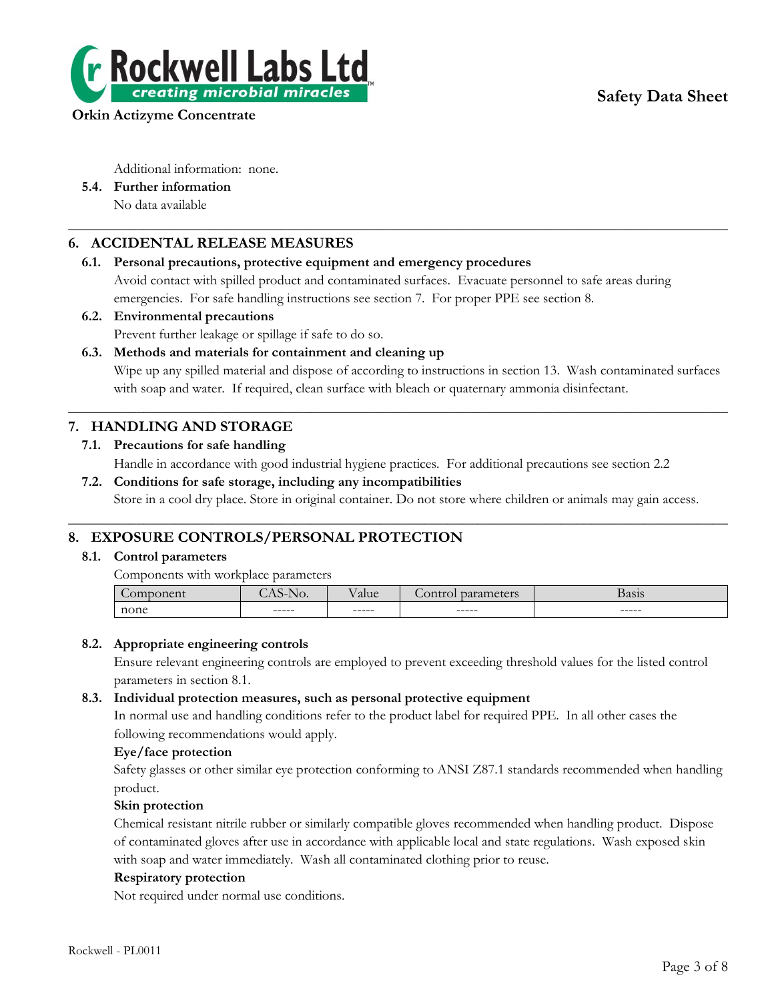

Additional information: none.

**5.4. Further information** No data available

# **6. ACCIDENTAL RELEASE MEASURES**

# **6.1. Personal precautions, protective equipment and emergency procedures**

Avoid contact with spilled product and contaminated surfaces. Evacuate personnel to safe areas during emergencies. For safe handling instructions see section 7. For proper PPE see section 8.

 $\_$  , and the set of the set of the set of the set of the set of the set of the set of the set of the set of the set of the set of the set of the set of the set of the set of the set of the set of the set of the set of th

**6.2. Environmental precautions**

Prevent further leakage or spillage if safe to do so.

**6.3. Methods and materials for containment and cleaning up**

Wipe up any spilled material and dispose of according to instructions in section 13. Wash contaminated surfaces with soap and water. If required, clean surface with bleach or quaternary ammonia disinfectant.

# **7. HANDLING AND STORAGE**

**7.1. Precautions for safe handling**

Handle in accordance with good industrial hygiene practices. For additional precautions see section 2.2

 $\_$  , and the set of the set of the set of the set of the set of the set of the set of the set of the set of the set of the set of the set of the set of the set of the set of the set of the set of the set of the set of th

**7.2. Conditions for safe storage, including any incompatibilities** Store in a cool dry place. Store in original container. Do not store where children or animals may gain access.  $\_$  , and the set of the set of the set of the set of the set of the set of the set of the set of the set of the set of the set of the set of the set of the set of the set of the set of the set of the set of the set of th

# **8. EXPOSURE CONTROLS/PERSONAL PROTECTION**

# **8.1. Control parameters**

Components with workplace parameters

| $\sim$ | vv.    | aiu     | 5000<br>Contro<br>. | 0.010<br>Dasis |
|--------|--------|---------|---------------------|----------------|
| none   | ------ | $-----$ | ------              | ------         |

# **8.2. Appropriate engineering controls**

Ensure relevant engineering controls are employed to prevent exceeding threshold values for the listed control parameters in section 8.1.

# **8.3. Individual protection measures, such as personal protective equipment**

In normal use and handling conditions refer to the product label for required PPE. In all other cases the following recommendations would apply.

# **Eye/face protection**

Safety glasses or other similar eye protection conforming to ANSI Z87.1 standards recommended when handling product.

# **Skin protection**

Chemical resistant nitrile rubber or similarly compatible gloves recommended when handling product. Dispose of contaminated gloves after use in accordance with applicable local and state regulations. Wash exposed skin with soap and water immediately. Wash all contaminated clothing prior to reuse.

# **Respiratory protection**

Not required under normal use conditions.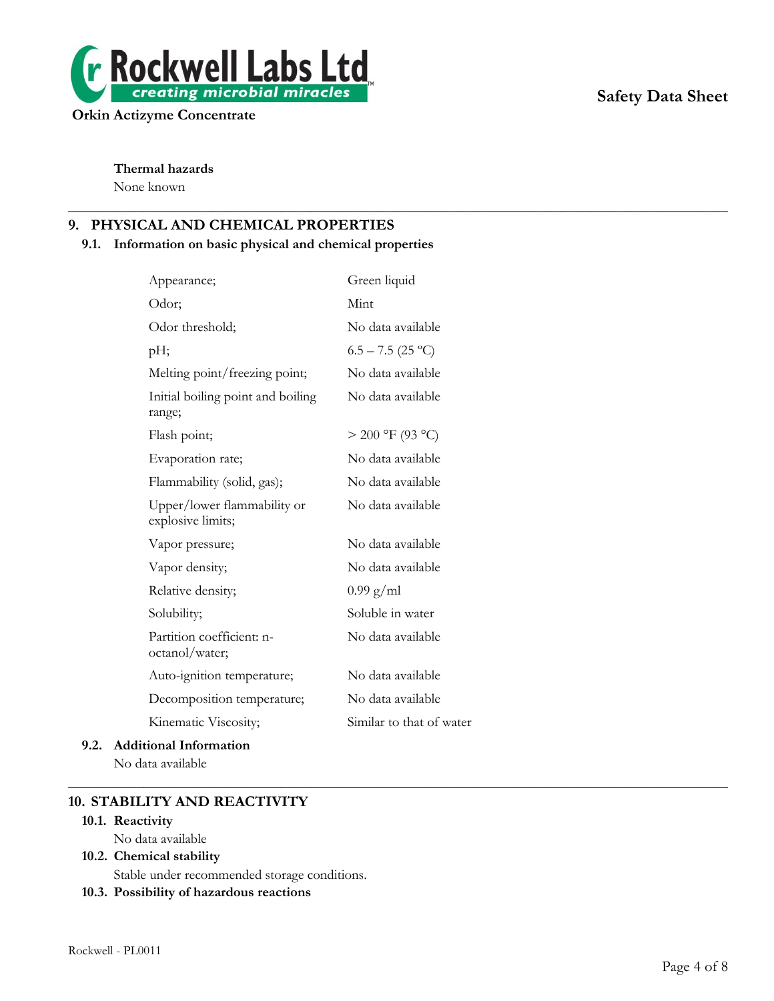

# **Safety Data Sheet**

**Thermal hazards**

None known

# **9. PHYSICAL AND CHEMICAL PROPERTIES**

# **9.1. Information on basic physical and chemical properties**

 $\_$  , and the set of the set of the set of the set of the set of the set of the set of the set of the set of the set of the set of the set of the set of the set of the set of the set of the set of the set of the set of th

| Appearance;                                      | Green liquid             |
|--------------------------------------------------|--------------------------|
| Odor;                                            | Mint                     |
| Odor threshold;                                  | No data available        |
| pН;                                              | $6.5 - 7.5$ (25 °C)      |
| Melting point/freezing point;                    | No data available        |
| Initial boiling point and boiling<br>range;      | No data available        |
| Flash point;                                     | $> 200$ °F (93 °C)       |
| Evaporation rate;                                | No data available        |
| Flammability (solid, gas);                       | No data available        |
| Upper/lower flammability or<br>explosive limits; | No data available        |
| Vapor pressure;                                  | No data available        |
| Vapor density;                                   | No data available        |
| Relative density;                                | $0.99$ g/ml              |
| Solubility;                                      | Soluble in water         |
| Partition coefficient: n-<br>octanol/water;      | No data available        |
| Auto-ignition temperature;                       | No data available        |
| Decomposition temperature;                       | No data available        |
| Kinematic Viscosity;                             | Similar to that of water |
|                                                  |                          |

# **9.2. Additional Information** No data available

 $\_$  , and the set of the set of the set of the set of the set of the set of the set of the set of the set of the set of the set of the set of the set of the set of the set of the set of the set of the set of the set of th

# **10. STABILITY AND REACTIVITY**

#### **10.1. Reactivity**

No data available

# **10.2. Chemical stability**

Stable under recommended storage conditions.

**10.3. Possibility of hazardous reactions**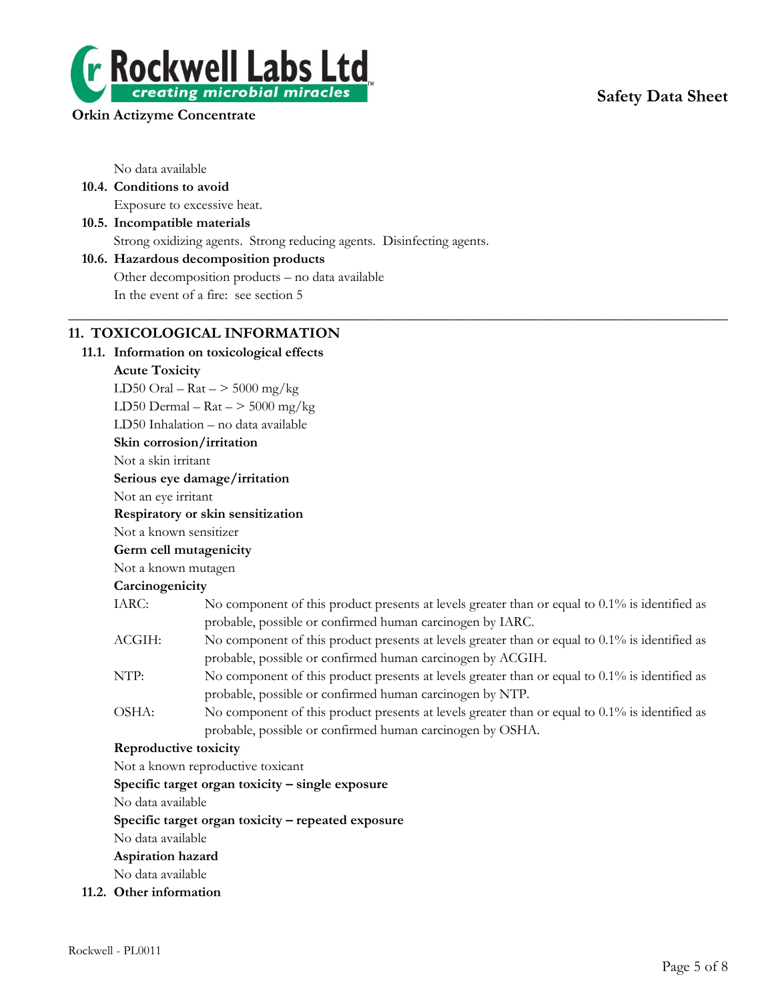# **Safety Data Sheet**



# **Orkin Actizyme Concentrate**

No data available

- **10.4. Conditions to avoid** Exposure to excessive heat.
- **10.5. Incompatible materials** Strong oxidizing agents. Strong reducing agents. Disinfecting agents.

# **10.6. Hazardous decomposition products** Other decomposition products – no data available In the event of a fire: see section 5

# **11. TOXICOLOGICAL INFORMATION**

# **11.1. Information on toxicological effects**

**Acute Toxicity** LD50 Oral –  $\text{Rat}$  –  $>$  5000 mg/kg LD50 Dermal –  $\text{Rat}$  –  $>$  5000 mg/kg

LD50 Inhalation – no data available

# **Skin corrosion/irritation**

Not a skin irritant

**Serious eye damage/irritation**

Not an eye irritant

# **Respiratory or skin sensitization**

Not a known sensitizer

# **Germ cell mutagenicity**

Not a known mutagen

# **Carcinogenicity**

IARC: No component of this product presents at levels greater than or equal to 0.1% is identified as probable, possible or confirmed human carcinogen by IARC.

 $\_$  , and the set of the set of the set of the set of the set of the set of the set of the set of the set of the set of the set of the set of the set of the set of the set of the set of the set of the set of the set of th

- ACGIH: No component of this product presents at levels greater than or equal to 0.1% is identified as probable, possible or confirmed human carcinogen by ACGIH.
- NTP: No component of this product presents at levels greater than or equal to  $0.1\%$  is identified as probable, possible or confirmed human carcinogen by NTP.
- OSHA: No component of this product presents at levels greater than or equal to 0.1% is identified as probable, possible or confirmed human carcinogen by OSHA.

# **Reproductive toxicity**

Not a known reproductive toxicant

**Specific target organ toxicity – single exposure**

No data available

**Specific target organ toxicity – repeated exposure**

No data available

**Aspiration hazard**

No data available

**11.2. Other information**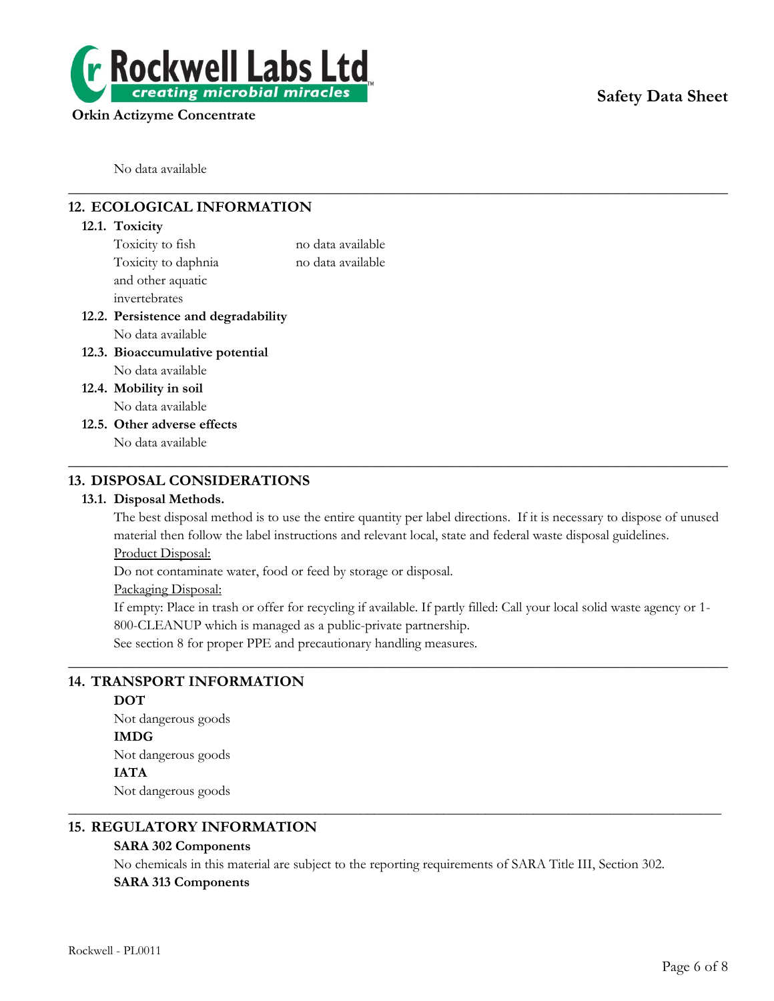

No data available

# **12. ECOLOGICAL INFORMATION**

# **12.1. Toxicity** Toxicity to fish no data available Toxicity to daphnia no data available and other aquatic invertebrates **12.2. Persistence and degradability** No data available **12.3. Bioaccumulative potential** No data available **12.4. Mobility in soil** No data available **12.5. Other adverse effects** No data available  $\_$  , and the set of the set of the set of the set of the set of the set of the set of the set of the set of the set of the set of the set of the set of the set of the set of the set of the set of the set of the set of th

# **13. DISPOSAL CONSIDERATIONS**

# **13.1. Disposal Methods.**

The best disposal method is to use the entire quantity per label directions. If it is necessary to dispose of unused material then follow the label instructions and relevant local, state and federal waste disposal guidelines. Product Disposal:

 $\_$  , and the set of the set of the set of the set of the set of the set of the set of the set of the set of the set of the set of the set of the set of the set of the set of the set of the set of the set of the set of th

Do not contaminate water, food or feed by storage or disposal.

Packaging Disposal:

If empty: Place in trash or offer for recycling if available. If partly filled: Call your local solid waste agency or 1- 800-CLEANUP which is managed as a public-private partnership.

 $\_$  , and the set of the set of the set of the set of the set of the set of the set of the set of the set of the set of the set of the set of the set of the set of the set of the set of the set of the set of the set of th

See section 8 for proper PPE and precautionary handling measures.

# **14. TRANSPORT INFORMATION**

# **DOT**

Not dangerous goods **IMDG** Not dangerous goods **IATA**

Not dangerous goods

# **15. REGULATORY INFORMATION**

# **SARA 302 Components**

No chemicals in this material are subject to the reporting requirements of SARA Title III, Section 302. **SARA 313 Components**

\_\_\_\_\_\_\_\_\_\_\_\_\_\_\_\_\_\_\_\_\_\_\_\_\_\_\_\_\_\_\_\_\_\_\_\_\_\_\_\_\_\_\_\_\_\_\_\_\_\_\_\_\_\_\_\_\_\_\_\_\_\_\_\_\_\_\_\_\_\_\_\_\_\_\_\_\_\_\_\_\_\_\_\_\_\_\_\_\_\_\_\_\_\_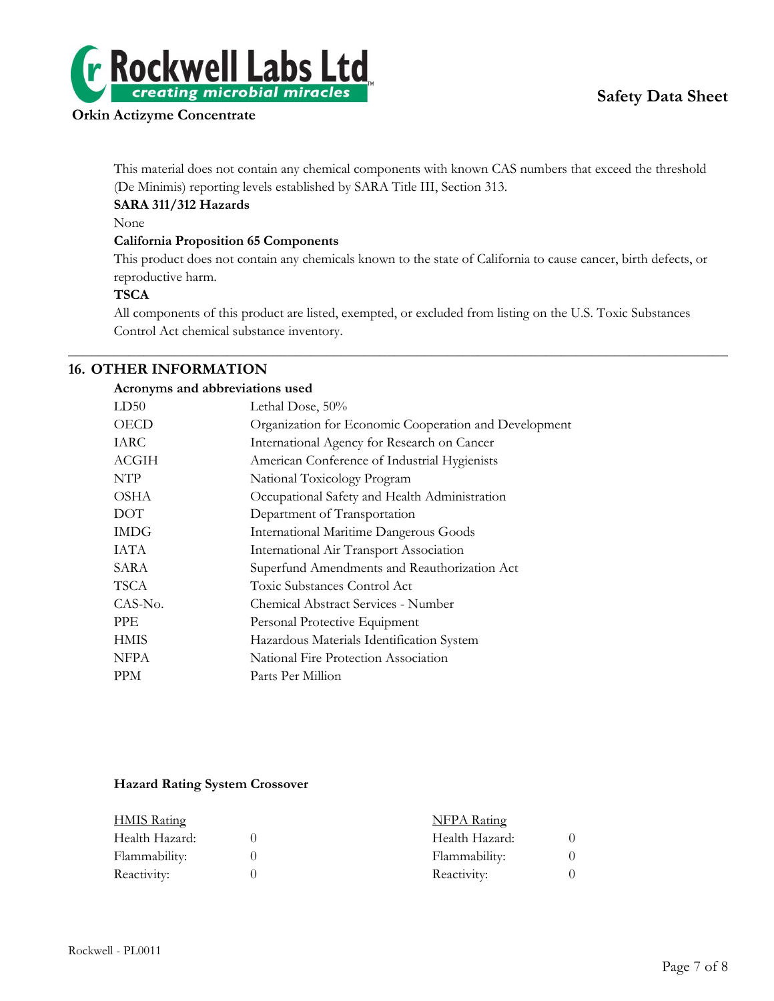



This material does not contain any chemical components with known CAS numbers that exceed the threshold (De Minimis) reporting levels established by SARA Title III, Section 313.

# **SARA 311/312 Hazards**

None

# **California Proposition 65 Components**

This product does not contain any chemicals known to the state of California to cause cancer, birth defects, or reproductive harm.

# **TSCA**

All components of this product are listed, exempted, or excluded from listing on the U.S. Toxic Substances Control Act chemical substance inventory.

 $\_$  , and the set of the set of the set of the set of the set of the set of the set of the set of the set of the set of the set of the set of the set of the set of the set of the set of the set of the set of the set of th

# **16. OTHER INFORMATION**

# **Acronyms and abbreviations used**

| LD50        | Lethal Dose, 50%                                      |
|-------------|-------------------------------------------------------|
| <b>OECD</b> | Organization for Economic Cooperation and Development |
| IARC        | International Agency for Research on Cancer           |
| ACGIH       | American Conference of Industrial Hygienists          |
| <b>NTP</b>  | National Toxicology Program                           |
| <b>OSHA</b> | Occupational Safety and Health Administration         |
| DOT         | Department of Transportation                          |
| <b>IMDG</b> | <b>International Maritime Dangerous Goods</b>         |
| IATA        | International Air Transport Association               |
| SARA        | Superfund Amendments and Reauthorization Act          |
| TSCA        | Toxic Substances Control Act                          |
| CAS-No.     | Chemical Abstract Services - Number                   |
| <b>PPE</b>  | Personal Protective Equipment                         |
| <b>HMIS</b> | Hazardous Materials Identification System             |
| <b>NFPA</b> | National Fire Protection Association                  |
| <b>PPM</b>  | Parts Per Million                                     |
|             |                                                       |

### **Hazard Rating System Crossover**

| <b>HMIS Rating</b> |  | <b>NFPA Rating</b> |  |
|--------------------|--|--------------------|--|
| Health Hazard:     |  | Health Hazard:     |  |
| Flammability:      |  | Flammability:      |  |
| Reactivity:        |  | Reactivity:        |  |